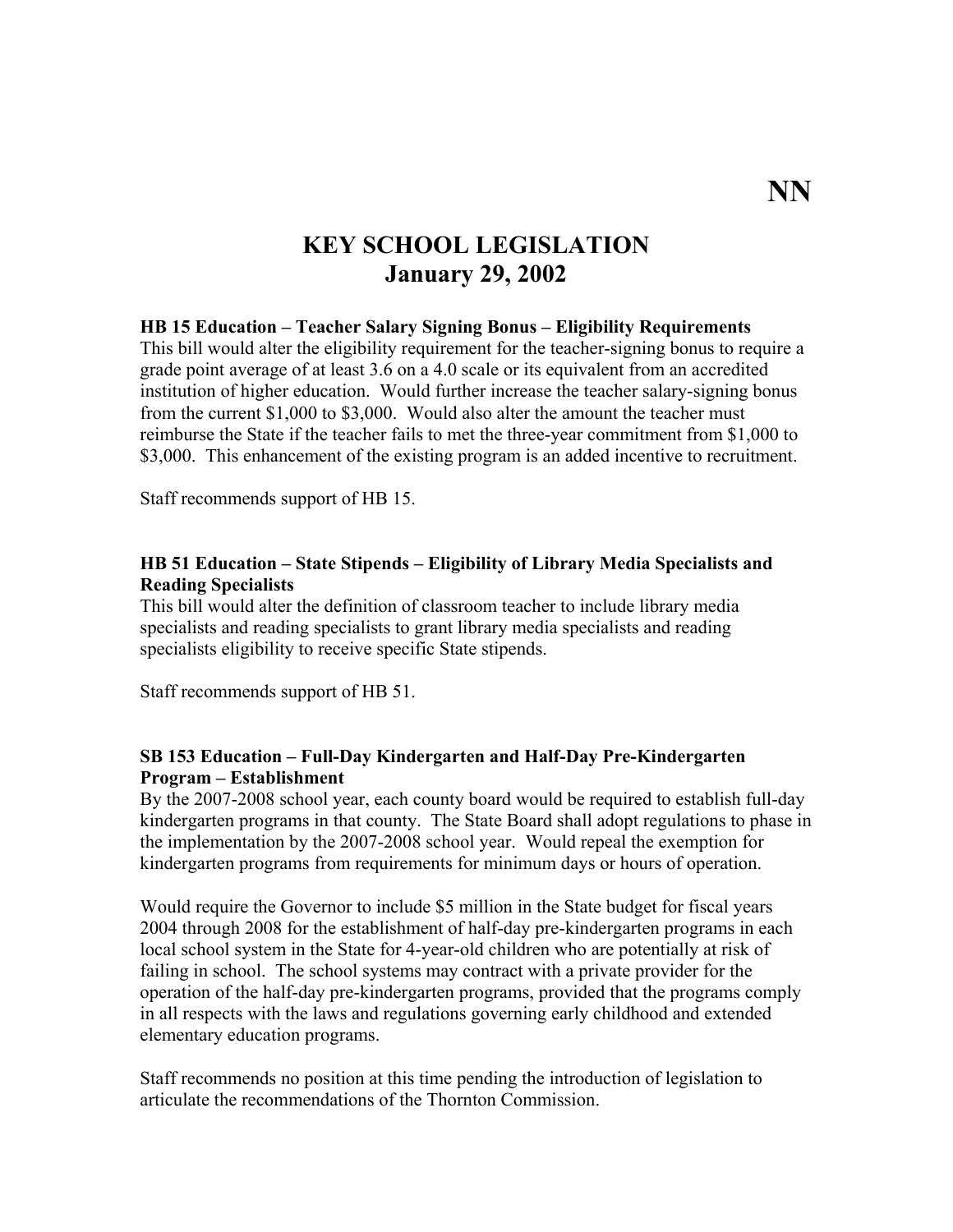# **KEY SCHOOL LEGISLATION January 29, 2002**

#### **HB 15 Education – Teacher Salary Signing Bonus – Eligibility Requirements**

This bill would alter the eligibility requirement for the teacher-signing bonus to require a grade point average of at least 3.6 on a 4.0 scale or its equivalent from an accredited institution of higher education. Would further increase the teacher salary-signing bonus from the current \$1,000 to \$3,000. Would also alter the amount the teacher must reimburse the State if the teacher fails to met the three-year commitment from \$1,000 to \$3,000. This enhancement of the existing program is an added incentive to recruitment.

Staff recommends support of HB 15.

#### **HB 51 Education – State Stipends – Eligibility of Library Media Specialists and Reading Specialists**

This bill would alter the definition of classroom teacher to include library media specialists and reading specialists to grant library media specialists and reading specialists eligibility to receive specific State stipends.

Staff recommends support of HB 51.

### **SB 153 Education – Full-Day Kindergarten and Half-Day Pre-Kindergarten Program – Establishment**

By the 2007-2008 school year, each county board would be required to establish full-day kindergarten programs in that county. The State Board shall adopt regulations to phase in the implementation by the 2007-2008 school year. Would repeal the exemption for kindergarten programs from requirements for minimum days or hours of operation.

Would require the Governor to include \$5 million in the State budget for fiscal years 2004 through 2008 for the establishment of half-day pre-kindergarten programs in each local school system in the State for 4-year-old children who are potentially at risk of failing in school. The school systems may contract with a private provider for the operation of the half-day pre-kindergarten programs, provided that the programs comply in all respects with the laws and regulations governing early childhood and extended elementary education programs.

Staff recommends no position at this time pending the introduction of legislation to articulate the recommendations of the Thornton Commission.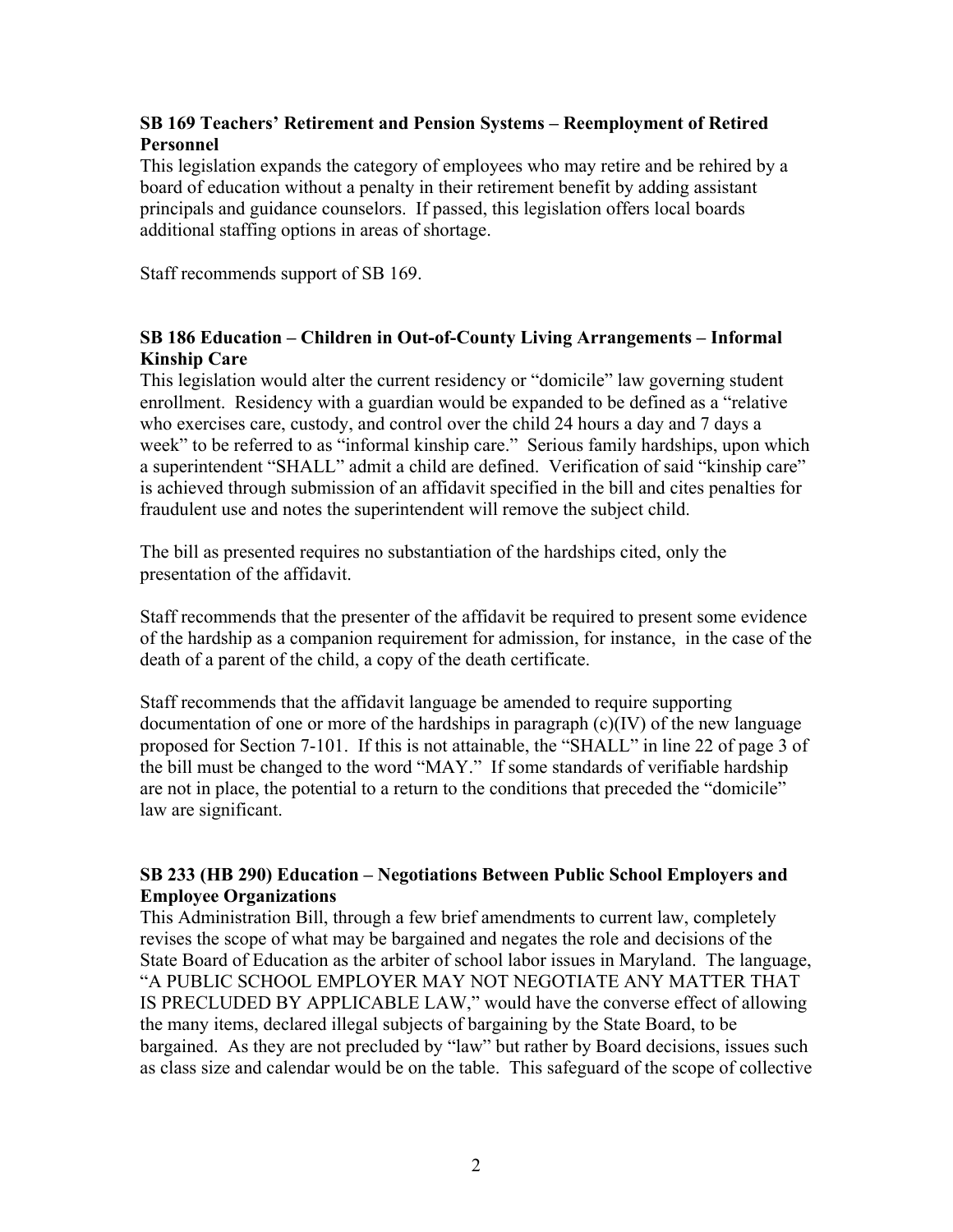## **SB 169 Teachers' Retirement and Pension Systems – Reemployment of Retired Personnel**

This legislation expands the category of employees who may retire and be rehired by a board of education without a penalty in their retirement benefit by adding assistant principals and guidance counselors. If passed, this legislation offers local boards additional staffing options in areas of shortage.

Staff recommends support of SB 169.

## **SB 186 Education – Children in Out-of-County Living Arrangements – Informal Kinship Care**

This legislation would alter the current residency or "domicile" law governing student enrollment. Residency with a guardian would be expanded to be defined as a "relative who exercises care, custody, and control over the child 24 hours a day and 7 days a week" to be referred to as "informal kinship care." Serious family hardships, upon which a superintendent "SHALL" admit a child are defined. Verification of said "kinship care" is achieved through submission of an affidavit specified in the bill and cites penalties for fraudulent use and notes the superintendent will remove the subject child.

The bill as presented requires no substantiation of the hardships cited, only the presentation of the affidavit.

Staff recommends that the presenter of the affidavit be required to present some evidence of the hardship as a companion requirement for admission, for instance, in the case of the death of a parent of the child, a copy of the death certificate.

Staff recommends that the affidavit language be amended to require supporting documentation of one or more of the hardships in paragraph (c)(IV) of the new language proposed for Section 7-101. If this is not attainable, the "SHALL" in line 22 of page 3 of the bill must be changed to the word "MAY." If some standards of verifiable hardship are not in place, the potential to a return to the conditions that preceded the "domicile" law are significant.

## **SB 233 (HB 290) Education – Negotiations Between Public School Employers and Employee Organizations**

This Administration Bill, through a few brief amendments to current law, completely revises the scope of what may be bargained and negates the role and decisions of the State Board of Education as the arbiter of school labor issues in Maryland. The language, "A PUBLIC SCHOOL EMPLOYER MAY NOT NEGOTIATE ANY MATTER THAT IS PRECLUDED BY APPLICABLE LAW," would have the converse effect of allowing the many items, declared illegal subjects of bargaining by the State Board, to be bargained. As they are not precluded by "law" but rather by Board decisions, issues such as class size and calendar would be on the table. This safeguard of the scope of collective